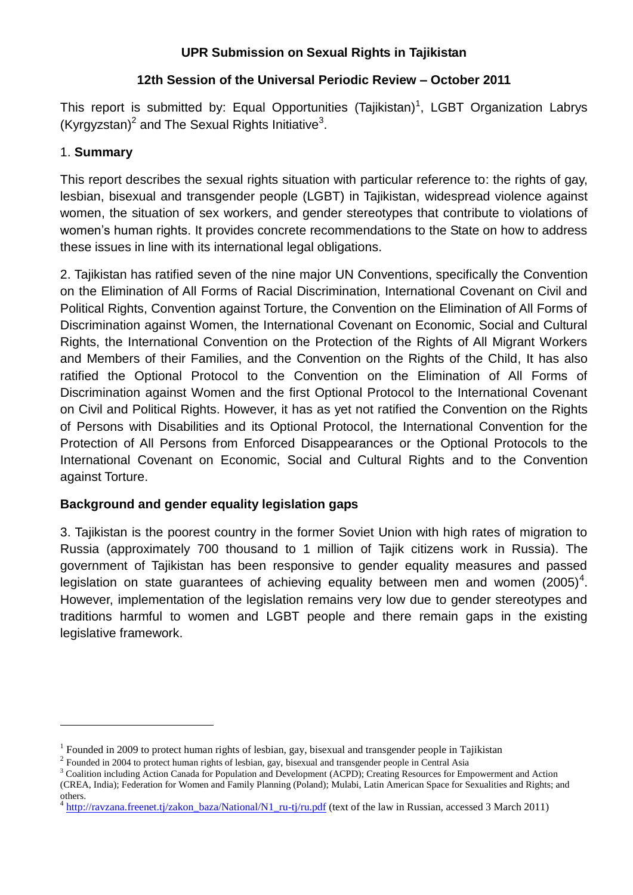## **UPR Submission on Sexual Rights in Tajikistan**

## **12th Session of the Universal Periodic Review – October 2011**

This report is submitted by: Equal Opportunities (Tajikistan)<sup>1</sup>, LGBT Organization Labrys (Kyrgyzstan)<sup>2</sup> and The Sexual Rights Initiative<sup>3</sup>.

# 1. **Summary**

**.** 

This report describes the sexual rights situation with particular reference to: the rights of gay, lesbian, bisexual and transgender people (LGBT) in Tajikistan, widespread violence against women, the situation of sex workers, and gender stereotypes that contribute to violations of women's human rights. It provides concrete recommendations to the State on how to address these issues in line with its international legal obligations.

2. Tajikistan has ratified seven of the nine major UN Conventions, specifically the Convention on the Elimination of All Forms of Racial Discrimination, International Covenant on Civil and Political Rights, Convention against Torture, the Convention on the Elimination of All Forms of Discrimination against Women, the International Covenant on Economic, Social and Cultural Rights, the International Convention on the Protection of the Rights of All Migrant Workers and Members of their Families, and the Convention on the Rights of the Child, It has also ratified the Optional Protocol to the Convention on the Elimination of All Forms of Discrimination against Women and the first Optional Protocol to the International Covenant on Civil and Political Rights. However, it has as yet not ratified the Convention on the Rights of Persons with Disabilities and its Optional Protocol, the International Convention for the Protection of All Persons from Enforced Disappearances or the Optional Protocols to the International Covenant on Economic, Social and Cultural Rights and to the Convention against Torture.

# **Background and gender equality legislation gaps**

3. Tajikistan is the poorest country in the former Soviet Union with high rates of migration to Russia (approximately 700 thousand to 1 million of Tajik citizens work in Russia). The government of Tajikistan has been responsive to gender equality measures and passed legislation on state guarantees of achieving equality between men and women  $(2005)^4$ . However, implementation of the legislation remains very low due to gender stereotypes and traditions harmful to women and LGBT people and there remain gaps in the existing legislative framework.

<sup>&</sup>lt;sup>1</sup> Founded in 2009 to protect human rights of lesbian, gay, bisexual and transgender people in Tajikistan

<sup>&</sup>lt;sup>2</sup> Founded in 2004 to protect human rights of lesbian, gay, bisexual and transgender people in Central Asia

<sup>&</sup>lt;sup>3</sup> Coalition including Action Canada for Population and Development (ACPD); Creating Resources for Empowerment and Action

<sup>(</sup>CREA, India); Federation for Women and Family Planning (Poland); Mulabi, Latin American Space for Sexualities and Rights; and others.

 $4 \frac{\text{http://ravzana.freenet.tj/zakon-baza/National/N1}{}$ ru-tj/ru.pdf (text of the law in Russian, accessed 3 March 2011)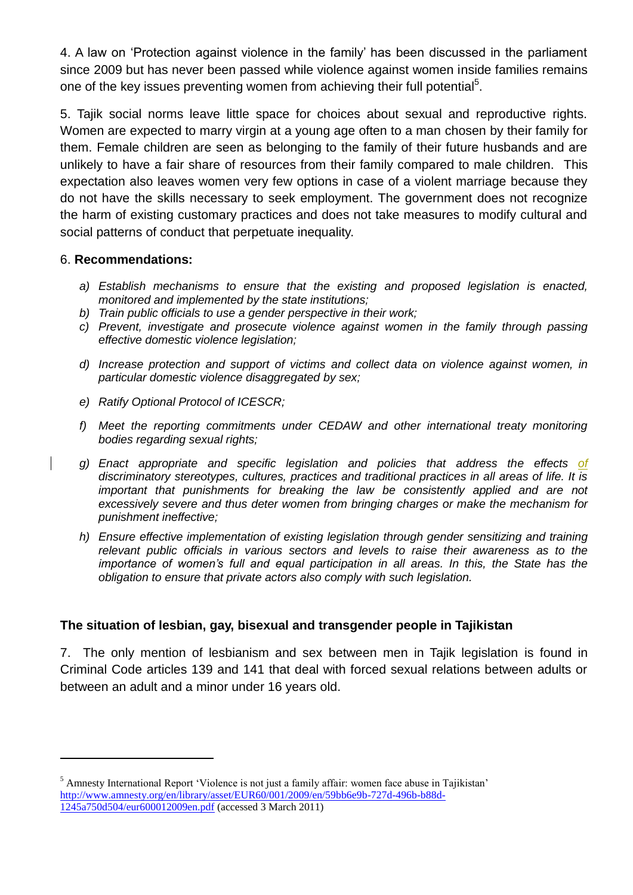4. A law on 'Protection against violence in the family' has been discussed in the parliament since 2009 but has never been passed while violence against women inside families remains one of the key issues preventing women from achieving their full potential<sup>5</sup>.

5. Tajik social norms leave little space for choices about sexual and reproductive rights. Women are expected to marry virgin at a young age often to a man chosen by their family for them. Female children are seen as belonging to the family of their future husbands and are unlikely to have a fair share of resources from their family compared to male children. This expectation also leaves women very few options in case of a violent marriage because they do not have the skills necessary to seek employment. The government does not recognize the harm of existing customary practices and does not take measures to modify cultural and social patterns of conduct that perpetuate inequality.

### 6. **Recommendations:**

**.** 

- *a) Establish mechanisms to ensure that the existing and proposed legislation is enacted, monitored and implemented by the state institutions;*
- *b) Train public officials to use a gender perspective in their work;*
- *c) Prevent, investigate and prosecute violence against women in the family through passing effective domestic violence legislation;*
- *d) Increase protection and support of victims and collect data on violence against women, in particular domestic violence disaggregated by sex;*
- *e) Ratify Optional Protocol of ICESCR;*
- *f) Meet the reporting commitments under CEDAW and other international treaty monitoring bodies regarding sexual rights;*
- *g) Enact appropriate and specific legislation and policies that address the effects of discriminatory stereotypes, cultures, practices and traditional practices in all areas of life. It is important that punishments for breaking the law be consistently applied and are not excessively severe and thus deter women from bringing charges or make the mechanism for punishment ineffective;*
- *h) Ensure effective implementation of existing legislation through gender sensitizing and training relevant public officials in various sectors and levels to raise their awareness as to the importance of women's full and equal participation in all areas. In this, the State has the obligation to ensure that private actors also comply with such legislation.*

### **The situation of lesbian, gay, bisexual and transgender people in Tajikistan**

7. The only mention of lesbianism and sex between men in Tajik legislation is found in Criminal Code articles 139 and 141 that deal with forced sexual relations between adults or between an adult and a minor under 16 years old.

<sup>&</sup>lt;sup>5</sup> Amnesty International Report 'Violence is not just a family affair: women face abuse in Tajikistan' [http://www.amnesty.org/en/library/asset/EUR60/001/2009/en/59bb6e9b-727d-496b-b88d-](http://www.amnesty.org/en/library/asset/EUR60/001/2009/en/59bb6e9b-727d-496b-b88d-1245a750d504/eur600012009en.pdf)[1245a750d504/eur600012009en.pdf](http://www.amnesty.org/en/library/asset/EUR60/001/2009/en/59bb6e9b-727d-496b-b88d-1245a750d504/eur600012009en.pdf) (accessed 3 March 2011)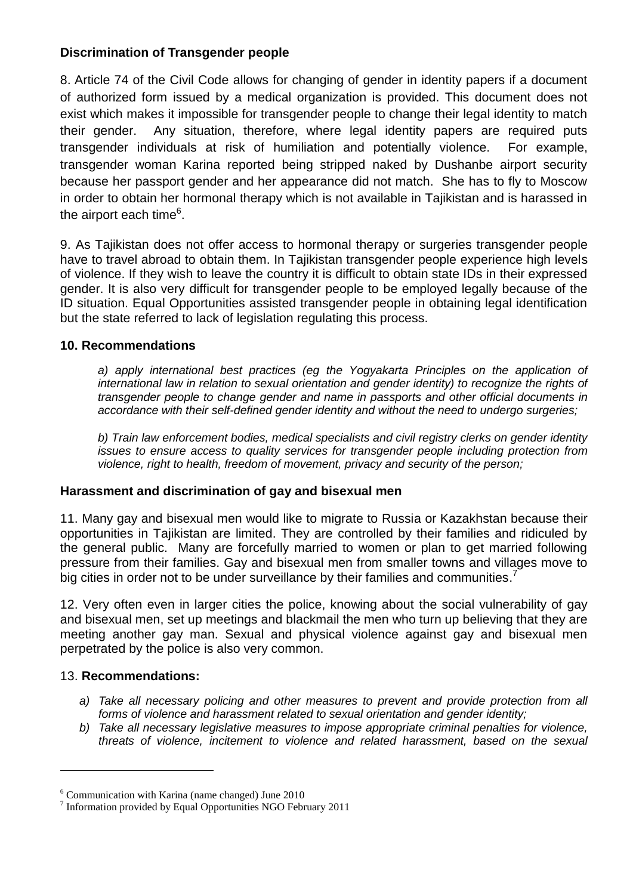## **Discrimination of Transgender people**

8. Article 74 of the Civil Code allows for changing of gender in identity papers if a document of authorized form issued by a medical organization is provided. This document does not exist which makes it impossible for transgender people to change their legal identity to match their gender. Any situation, therefore, where legal identity papers are required puts transgender individuals at risk of humiliation and potentially violence. For example, transgender woman Karina reported being stripped naked by Dushanbe airport security because her passport gender and her appearance did not match. She has to fly to Moscow in order to obtain her hormonal therapy which is not available in Tajikistan and is harassed in the airport each time<sup>6</sup>.

9. As Tajikistan does not offer access to hormonal therapy or surgeries transgender people have to travel abroad to obtain them. In Tajikistan transgender people experience high levels of violence. If they wish to leave the country it is difficult to obtain state IDs in their expressed gender. It is also very difficult for transgender people to be employed legally because of the ID situation. Equal Opportunities assisted transgender people in obtaining legal identification but the state referred to lack of legislation regulating this process.

### **10. Recommendations**

a) apply international best practices (eg the Yogyakarta Principles on the application of *international law in relation to sexual orientation and gender identity) to recognize the rights of transgender people to change gender and name in passports and other official documents in accordance with their self-defined gender identity and without the need to undergo surgeries;*

*b) Train law enforcement bodies, medical specialists and civil registry clerks on gender identity issues to ensure access to quality services for transgender people including protection from violence, right to health, freedom of movement, privacy and security of the person;*

### **Harassment and discrimination of gay and bisexual men**

11. Many gay and bisexual men would like to migrate to Russia or Kazakhstan because their opportunities in Tajikistan are limited. They are controlled by their families and ridiculed by the general public. Many are forcefully married to women or plan to get married following pressure from their families. Gay and bisexual men from smaller towns and villages move to big cities in order not to be under surveillance by their families and communities.<sup>7</sup>

12. Very often even in larger cities the police, knowing about the social vulnerability of gay and bisexual men, set up meetings and blackmail the men who turn up believing that they are meeting another gay man. Sexual and physical violence against gay and bisexual men perpetrated by the police is also very common.

### 13. **Recommendations:**

**.** 

- *a) Take all necessary policing and other measures to prevent and provide protection from all forms of violence and harassment related to sexual orientation and gender identity;*
- *b) Take all necessary legislative measures to impose appropriate criminal penalties for violence, threats of violence, incitement to violence and related harassment, based on the sexual*

<sup>6</sup> Communication with Karina (name changed) June 2010

<sup>7</sup> Information provided by Equal Opportunities NGO February 2011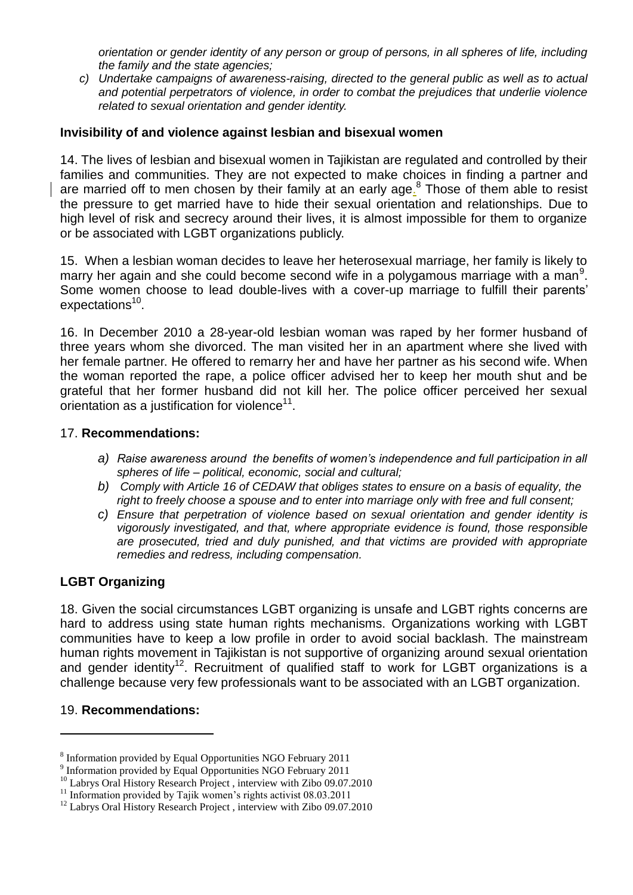*orientation or gender identity of any person or group of persons, in all spheres of life, including the family and the state agencies;*

*c) Undertake campaigns of awareness-raising, directed to the general public as well as to actual and potential perpetrators of violence, in order to combat the prejudices that underlie violence related to sexual orientation and gender identity.*

#### **Invisibility of and violence against lesbian and bisexual women**

14. The lives of lesbian and bisexual women in Tajikistan are regulated and controlled by their families and communities. They are not expected to make choices in finding a partner and are married off to men chosen by their family at an early age.<sup>8</sup> Those of them able to resist the pressure to get married have to hide their sexual orientation and relationships. Due to high level of risk and secrecy around their lives, it is almost impossible for them to organize or be associated with LGBT organizations publicly.

15. When a lesbian woman decides to leave her heterosexual marriage, her family is likely to marry her again and she could become second wife in a polygamous marriage with a man<sup>9</sup>. Some women choose to lead double-lives with a cover-up marriage to fulfill their parents' expectations<sup>10</sup>.

16. In December 2010 a 28-year-old lesbian woman was raped by her former husband of three years whom she divorced. The man visited her in an apartment where she lived with her female partner. He offered to remarry her and have her partner as his second wife. When the woman reported the rape, a police officer advised her to keep her mouth shut and be grateful that her former husband did not kill her. The police officer perceived her sexual  $\alpha$  orientation as a justification for violence $^{11}$ .

#### 17. **Recommendations:**

- *a) Raise awareness around the benefits of women's independence and full participation in all spheres of life – political, economic, social and cultural;*
- *b) Comply with Article 16 of CEDAW that obliges states to ensure on a basis of equality, the right to freely choose a spouse and to enter into marriage only with free and full consent;*
- *c) Ensure that perpetration of violence based on sexual orientation and gender identity is vigorously investigated, and that, where appropriate evidence is found, those responsible are prosecuted, tried and duly punished, and that victims are provided with appropriate remedies and redress, including compensation.*

### **LGBT Organizing**

18. Given the social circumstances LGBT organizing is unsafe and LGBT rights concerns are hard to address using state human rights mechanisms. Organizations working with LGBT communities have to keep a low profile in order to avoid social backlash. The mainstream human rights movement in Tajikistan is not supportive of organizing around sexual orientation and gender identity<sup>12</sup>. Recruitment of qualified staff to work for LGBT organizations is a challenge because very few professionals want to be associated with an LGBT organization.

#### 19. **Recommendations:**

 $\overline{\phantom{a}}$ 

<sup>&</sup>lt;sup>8</sup> Information provided by Equal Opportunities NGO February 2011

<sup>&</sup>lt;sup>9</sup> Information provided by Equal Opportunities NGO February 2011

<sup>&</sup>lt;sup>10</sup> Labrys Oral History Research Project, interview with Zibo 09.07.2010

 $11$  Information provided by Tajik women's rights activist 08.03.2011

<sup>&</sup>lt;sup>12</sup> Labrys Oral History Research Project, interview with Zibo 09.07.2010